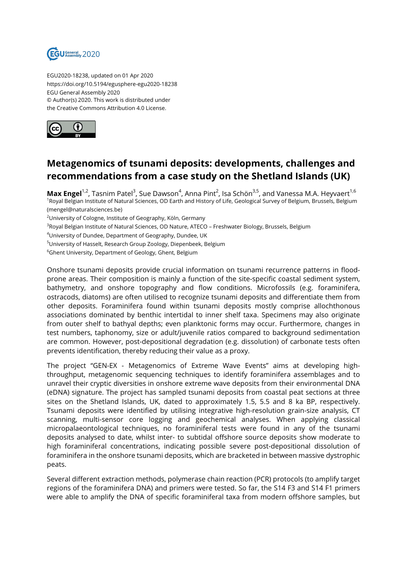

EGU2020-18238, updated on 01 Apr 2020 https://doi.org/10.5194/egusphere-egu2020-18238 EGU General Assembly 2020 © Author(s) 2020. This work is distributed under the Creative Commons Attribution 4.0 License.



## **Metagenomics of tsunami deposits: developments, challenges and recommendations from a case study on the Shetland Islands (UK)**

**Max Engel<sup>1,2</sup>,** Tasnim Patel<sup>3</sup>, Sue Dawson<sup>4</sup>, Anna Pint<sup>2</sup>, Isa Schön<sup>3,5</sup>, and Vanessa M.A. Heyvaert<sup>1,6</sup> <sup>1</sup>Royal Belgian Institute of Natural Sciences, OD Earth and History of Life, Geological Survey of Belgium, Brussels, Belgium (mengel@naturalsciences.be)

<sup>2</sup>University of Cologne, Institute of Geography, Köln, Germany

<sup>3</sup>Royal Belgian Institute of Natural Sciences, OD Nature, ATECO – Freshwater Biology, Brussels, Belgium

<sup>4</sup>University of Dundee, Department of Geography, Dundee, UK

<sup>5</sup>University of Hasselt, Research Group Zoology, Diepenbeek, Belgium

<sup>6</sup>Ghent University, Department of Geology, Ghent, Belgium

 Onshore tsunami deposits provide crucial information on tsunami recurrence patterns in floodprone areas. Their composition is mainly a function of the site-specific coastal sediment system, bathymetry, and onshore topography and flow conditions. Microfossils (e.g. foraminifera, ostracods, diatoms) are often utilised to recognize tsunami deposits and differentiate them from other deposits. Foraminifera found within tsunami deposits mostly comprise allochthonous associations dominated by benthic intertidal to inner shelf taxa. Specimens may also originate from outer shelf to bathyal depths; even planktonic forms may occur. Furthermore, changes in test numbers, taphonomy, size or adult/juvenile ratios compared to background sedimentation are common. However, post-depositional degradation (e.g. dissolution) of carbonate tests often prevents identification, thereby reducing their value as a proxy.

The project "GEN-EX - Metagenomics of Extreme Wave Events" aims at developing highthroughput, metagenomic sequencing techniques to identify foraminifera assemblages and to unravel their cryptic diversities in onshore extreme wave deposits from their environmental DNA (eDNA) signature. The project has sampled tsunami deposits from coastal peat sections at three sites on the Shetland Islands, UK, dated to approximately 1.5, 5.5 and 8 ka BP, respectively. Tsunami deposits were identified by utilising integrative high-resolution grain-size analysis, CT scanning, multi-sensor core logging and geochemical analyses. When applying classical micropalaeontological techniques, no foraminiferal tests were found in any of the tsunami deposits analysed to date, whilst inter- to subtidal offshore source deposits show moderate to high foraminiferal concentrations, indicating possible severe post-depositional dissolution of foraminifera in the onshore tsunami deposits, which are bracketed in between massive dystrophic peats.

Several different extraction methods, polymerase chain reaction (PCR) protocols (to amplify target regions of the foraminifera DNA) and primers were tested. So far, the S14 F3 and S14 F1 primers were able to amplify the DNA of specific foraminiferal taxa from modern offshore samples, but